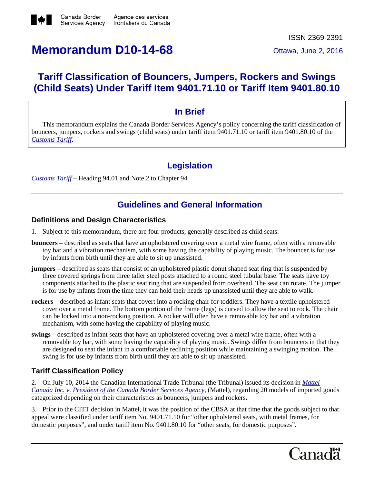

# **Memorandum D10-14-68** Ottawa, June 2, 2016

# **Tariff Classification of Bouncers, Jumpers, Rockers and Swings (Child Seats) Under Tariff Item 9401.71.10 or Tariff Item 9401.80.10**

### **In Brief**

This memorandum explains the Canada Border Services Agency's policy concerning the tariff classification of bouncers, jumpers, rockers and swings (child seats) under tariff item 9401.71.10 or tariff item 9401.80.10 of the *[Customs Tariff](http://www.cbsa-asfc.gc.ca/trade-commerce/tariff-tarif/menu-eng.html)*.

# **Legislation**

*[Customs](http://www.cbsa-asfc.gc.ca/trade-commerce/tariff-tarif/menu-eng.html) Tariff* – Heading 94.01 and Note 2 to Chapter 94

# **Guidelines and General Information**

#### **Definitions and Design Characteristics**

- 1. Subject to this memorandum, there are four products, generally described as child seats:
- **bouncers** described as seats that have an upholstered covering over a metal wire frame, often with a removable toy bar and a vibration mechanism, with some having the capability of playing music. The bouncer is for use by infants from birth until they are able to sit up unassisted.
- **jumpers** described as seats that consist of an upholstered plastic donut shaped seat ring that is suspended by three covered springs from three taller steel posts attached to a round steel tubular base. The seats have toy components attached to the plastic seat ring that are suspended from overhead. The seat can rotate. The jumper is for use by infants from the time they can hold their heads up unassisted until they are able to walk.
- **rockers** described as infant seats that covert into a rocking chair for toddlers. They have a textile upholstered cover over a metal frame. The bottom portion of the frame (legs) is curved to allow the seat to rock. The chair can be locked into a non-rocking position. A rocker will often have a removable toy bar and a vibration mechanism, with some having the capability of playing music.
- **swings** described as infant seats that have an upholstered covering over a metal wire frame, often with a removable toy bar, with some having the capability of playing music. Swings differ from bouncers in that they are designed to seat the infant in a comfortable reclining position while maintaining a swinging motion. The swing is for use by infants from birth until they are able to sit up unassisted.

#### **Tariff Classification Policy**

2. On July 10, 2014 the Canadian International Trade Tribunal (the Tribunal) issued its decision in *[Mattel](http://www.citt.gc.ca/en/node/6761) Canada Inc. v. [President](http://www.citt.gc.ca/en/node/6761) of the Canada Border Services Agency,* (Mattel), regarding 20 models of imported goods categorized depending on their characteristics as bouncers, jumpers and rockers.

3. Prior to the CITT decision in Mattel, it was the position of the CBSA at that time that the goods subject to that appeal were classified under tariff item No. 9401.71.10 for "other upholstered seats, with metal frames, for domestic purposes", and under tariff item No. 9401.80.10 for "other seats, for domestic purposes".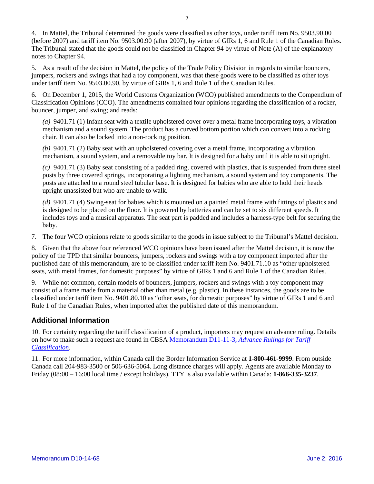4. In Mattel, the Tribunal determined the goods were classified as other toys, under tariff item No. 9503.90.00 (before 2007) and tariff item No. 9503.00.90 (after 2007), by virtue of GIRs 1, 6 and Rule 1 of the Canadian Rules. The Tribunal stated that the goods could not be classified in Chapter 94 by virtue of Note (A) of the explanatory notes to Chapter 94.

5. As a result of the decision in Mattel, the policy of the Trade Policy Division in regards to similar bouncers, jumpers, rockers and swings that had a toy component, was that these goods were to be classified as other toys under tariff item No. 9503.00.90, by virtue of GIRs 1, 6 and Rule 1 of the Canadian Rules.

6. On December 1, 2015, the World Customs Organization (WCO) published amendments to the Compendium of Classification Opinions (CCO). The amendments contained four opinions regarding the classification of a rocker, bouncer, jumper, and swing; and reads:

*(a)* 9401.71 (1) Infant seat with a textile upholstered cover over a metal frame incorporating toys, a vibration mechanism and a sound system. The product has a curved bottom portion which can convert into a rocking chair. It can also be locked into a non-rocking position.

*(b)* 9401.71 (2) Baby seat with an upholstered covering over a metal frame, incorporating a vibration mechanism, a sound system, and a removable toy bar. It is designed for a baby until it is able to sit upright.

*(c)* 9401.71 (3) Baby seat consisting of a padded ring, covered with plastics, that is suspended from three steel posts by three covered springs, incorporating a lighting mechanism, a sound system and toy components. The posts are attached to a round steel tubular base. It is designed for babies who are able to hold their heads upright unassisted but who are unable to walk.

*(d)* 9401.71 (4) Swing-seat for babies which is mounted on a painted metal frame with fittings of plastics and is designed to be placed on the floor. It is powered by batteries and can be set to six different speeds. It includes toys and a musical apparatus. The seat part is padded and includes a harness-type belt for securing the baby.

7. The four WCO opinions relate to goods similar to the goods in issue subject to the Tribunal's Mattel decision.

8. Given that the above four referenced WCO opinions have been issued after the Mattel decision, it is now the policy of the TPD that similar bouncers, jumpers, rockers and swings with a toy component imported after the published date of this memorandum, are to be classified under tariff item No. 9401.71.10 as "other upholstered seats, with metal frames, for domestic purposes" by virtue of GIRs 1 and 6 and Rule 1 of the Canadian Rules.

9. While not common, certain models of bouncers, jumpers, rockers and swings with a toy component may consist of a frame made from a material other than metal (e.g. plastic). In these instances, the goods are to be classified under tariff item No. 9401.80.10 as "other seats, for domestic purposes" by virtue of GIRs 1 and 6 and Rule 1 of the Canadian Rules, when imported after the published date of this memorandum.

#### **Additional Information**

10. For certainty regarding the tariff classification of a product, importers may request an advance ruling. Details on how to make such a request are found in CBSA [Memorandum](http://www.cbsa-asfc.gc.ca/publications/dm-md/d11/d11-11-3-eng.html) D11-11-3, *Advance Rulings for Tariff [Classification](http://www.cbsa-asfc.gc.ca/publications/dm-md/d11/d11-11-3-eng.html)*.

11. For more information, within Canada call the Border Information Service at **1-800-461-9999**. From outside Canada call 204-983-3500 or 506-636-5064. Long distance charges will apply. Agents are available Monday to Friday (08:00 – 16:00 local time / except holidays). TTY is also available within Canada: **1-866-335-3237**.